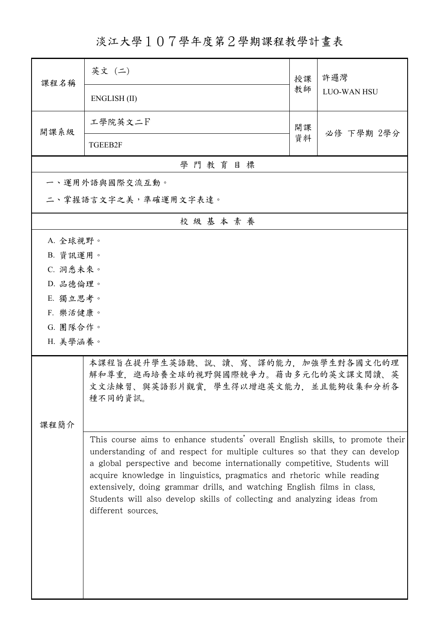淡江大學107學年度第2學期課程教學計畫表

| 課程名稱                 | 英文 (二)                                                                                                                                                                                                                                                                                                                                                                                                                                                                                              | 授課 | 許邏灣                |  |  |
|----------------------|-----------------------------------------------------------------------------------------------------------------------------------------------------------------------------------------------------------------------------------------------------------------------------------------------------------------------------------------------------------------------------------------------------------------------------------------------------------------------------------------------------|----|--------------------|--|--|
|                      | ENGLISH (II)                                                                                                                                                                                                                                                                                                                                                                                                                                                                                        | 教師 | <b>LUO-WAN HSU</b> |  |  |
| 開課系級                 | 工學院英文二下                                                                                                                                                                                                                                                                                                                                                                                                                                                                                             | 開課 | 必修 下學期 2學分         |  |  |
|                      | TGEEB2F                                                                                                                                                                                                                                                                                                                                                                                                                                                                                             | 資料 |                    |  |  |
|                      | 學門教育目標                                                                                                                                                                                                                                                                                                                                                                                                                                                                                              |    |                    |  |  |
|                      | 一、運用外語與國際交流互動。                                                                                                                                                                                                                                                                                                                                                                                                                                                                                      |    |                    |  |  |
|                      | 二、掌握語言文字之美,準確運用文字表達。                                                                                                                                                                                                                                                                                                                                                                                                                                                                                |    |                    |  |  |
| 校級基本素養               |                                                                                                                                                                                                                                                                                                                                                                                                                                                                                                     |    |                    |  |  |
| A. 全球視野。             |                                                                                                                                                                                                                                                                                                                                                                                                                                                                                                     |    |                    |  |  |
| B. 資訊運用。             |                                                                                                                                                                                                                                                                                                                                                                                                                                                                                                     |    |                    |  |  |
| C. 洞悉未來。             |                                                                                                                                                                                                                                                                                                                                                                                                                                                                                                     |    |                    |  |  |
| D. 品德倫理。             |                                                                                                                                                                                                                                                                                                                                                                                                                                                                                                     |    |                    |  |  |
| E. 獨立思考。             |                                                                                                                                                                                                                                                                                                                                                                                                                                                                                                     |    |                    |  |  |
| F. 樂活健康。<br>G. 團隊合作。 |                                                                                                                                                                                                                                                                                                                                                                                                                                                                                                     |    |                    |  |  |
| H. 美學涵養。             |                                                                                                                                                                                                                                                                                                                                                                                                                                                                                                     |    |                    |  |  |
|                      |                                                                                                                                                                                                                                                                                                                                                                                                                                                                                                     |    |                    |  |  |
|                      | 本課程旨在提升學生英語聽、說、讀、寫、譯的能力,加強學生對各國文化的理<br>解和尊重,進而培養全球的視野與國際競爭力。藉由多元化的英文課文閱讀、英<br>文文法練習、與英語影片觀賞,學生得以增進英文能力,並且能夠收集和分析各<br>種不同的資訊。                                                                                                                                                                                                                                                                                                                                                                        |    |                    |  |  |
| 课程简介                 |                                                                                                                                                                                                                                                                                                                                                                                                                                                                                                     |    |                    |  |  |
|                      | This course aims to enhance students' overall English skills, to promote their<br>understanding of and respect for multiple cultures so that they can develop<br>a global perspective and become internationally competitive. Students will<br>acquire knowledge in linguistics, pragmatics and rhetoric while reading<br>extensively, doing grammar drills, and watching English films in class.<br>Students will also develop skills of collecting and analyzing ideas from<br>different sources. |    |                    |  |  |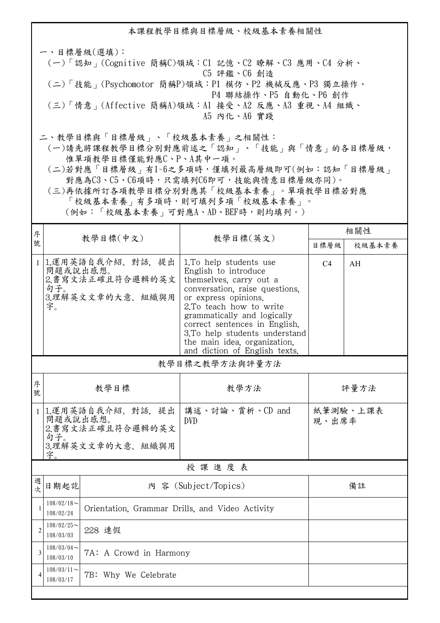本課程教學目標與目標層級、校級基本素養相關性 一、目標層級(選填): (一)「認知」(Cognitive 簡稱C)領域:C1 記憶、C2 瞭解、C3 應用、C4 分析、 C5 評鑑、C6 創造 (二)「技能」(Psychomotor 簡稱P)領域:P1 模仿、P2 機械反應、P3 獨立操作、 P4 聯結操作、P5 自動化、P6 創作 (三)「情意」(Affective 簡稱A)領域:A1 接受、A2 反應、A3 重視、A4 組織、 A5 內化、A6 實踐 二、教學目標與「目標層級」、「校級基本素養」之相關性:

 (一)請先將課程教學目標分別對應前述之「認知」、「技能」與「情意」的各目標層級, 惟單項教學目標僅能對應C、P、A其中一項。

 (二)若對應「目標層級」有1~6之多項時,僅填列最高層級即可(例如:認知「目標層級」 對應為C3、C5、C6項時,只需填列C6即可,技能與情意目標層級亦同)。

 (三)再依據所訂各項教學目標分別對應其「校級基本素養」。單項教學目標若對應 「校級基本素養」有多項時,則可填列多項「校級基本素養」。 (例如:「校級基本素養」可對應A、AD、BEF時,則均填列。)

| 序              |                                                                                   |                                                          | 教學目標(英文)                                                                                                                                                                                                                                                                                                                          | 相關性            |          |  |
|----------------|-----------------------------------------------------------------------------------|----------------------------------------------------------|-----------------------------------------------------------------------------------------------------------------------------------------------------------------------------------------------------------------------------------------------------------------------------------------------------------------------------------|----------------|----------|--|
| 號              |                                                                                   | 教學目標(中文)                                                 |                                                                                                                                                                                                                                                                                                                                   | 目標層級           | 校級基本素養   |  |
| $\mathbf{1}$   | 問題或說出感想。<br>句子。<br>字。                                                             | 1.運用英語自我介紹、對話,提出<br>2.書寫文法正確且符合邏輯的英文<br>3.理解英文文章的大意、組織與用 | 1. To help students use<br>English to introduce<br>themselves, carry out a<br>conversation, raise questions,<br>or express opinions.<br>2.To teach how to write<br>grammatically and logically<br>correct sentences in English.<br>3.To help students understand<br>the main idea, organization,<br>and diction of English texts. | C <sub>4</sub> | AH       |  |
| 教學目標之教學方法與評量方法 |                                                                                   |                                                          |                                                                                                                                                                                                                                                                                                                                   |                |          |  |
| 序<br>號         | 教學目標                                                                              |                                                          | 教學方法                                                                                                                                                                                                                                                                                                                              | 評量方法           |          |  |
| $\mathbf{1}$   | 1.運用英語自我介紹、對話、提出<br>問題或說出感想。<br>2.書寫文法正確且符合邏輯的英文<br>句子。<br>3.理解英文文章的大意、組織與用<br>字。 |                                                          | 講述、討論、賞析、CD and<br><b>DVD</b>                                                                                                                                                                                                                                                                                                     | 現、出席率          | 紙筆測驗、上課表 |  |
| 授課進度表          |                                                                                   |                                                          |                                                                                                                                                                                                                                                                                                                                   |                |          |  |
| 週<br>欤         | 日期起訖                                                                              |                                                          | 內 容 (Subject/Topics)                                                                                                                                                                                                                                                                                                              |                | 備註       |  |
| $\mathbf{1}$   | $108/02/18$ ~<br>Orientation, Grammar Drills, and Video Activity<br>108/02/24     |                                                          |                                                                                                                                                                                                                                                                                                                                   |                |          |  |
| $\overline{2}$ | $108/02/25$ ~<br>108/03/03                                                        | 228 連假                                                   |                                                                                                                                                                                                                                                                                                                                   |                |          |  |
| $\overline{3}$ | $108/03/04$ ~<br>108/03/10                                                        | 7A: A Crowd in Harmony                                   |                                                                                                                                                                                                                                                                                                                                   |                |          |  |
| $\overline{4}$ | $108/03/11$ ~<br>108/03/17                                                        | 7B: Why We Celebrate                                     |                                                                                                                                                                                                                                                                                                                                   |                |          |  |
|                |                                                                                   |                                                          |                                                                                                                                                                                                                                                                                                                                   |                |          |  |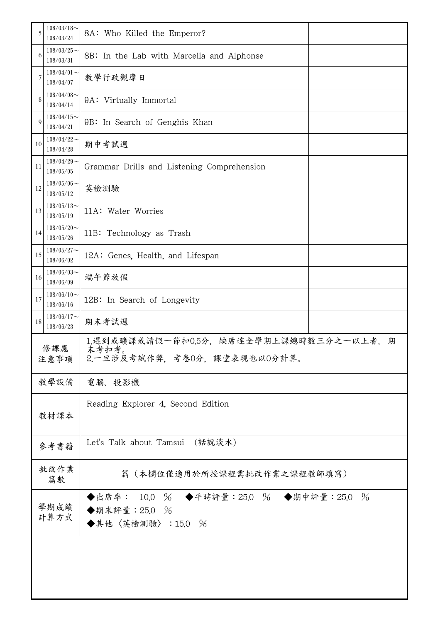| 5                                                               | $108/03/18$ ~<br>108/03/24                                                                    | 8A: Who Killed the Emperor?                                                   |  |  |
|-----------------------------------------------------------------|-----------------------------------------------------------------------------------------------|-------------------------------------------------------------------------------|--|--|
| 6                                                               | $108/03/25$ ~<br>108/03/31                                                                    | 8B: In the Lab with Marcella and Alphonse                                     |  |  |
| 7                                                               | $108/04/01$ ~<br>108/04/07                                                                    | 教學行政觀摩日                                                                       |  |  |
| 8                                                               | $108/04/08$ ~<br>9A: Virtually Immortal<br>108/04/14                                          |                                                                               |  |  |
| 9                                                               | $108/04/15$ ~<br>108/04/21                                                                    | 9B: In Search of Genghis Khan                                                 |  |  |
| 10                                                              | $108/04/22$ ~<br>108/04/28                                                                    | 期中考試週                                                                         |  |  |
| 11                                                              | $108/04/29$ ~<br>Grammar Drills and Listening Comprehension<br>108/05/05                      |                                                                               |  |  |
| 12                                                              | $108/05/06$ ~<br>英檢測驗<br>108/05/12                                                            |                                                                               |  |  |
| 13                                                              | $108/05/13$ ~<br>11A: Water Worries<br>108/05/19                                              |                                                                               |  |  |
| 14                                                              | $108/05/20$ ~<br>11B: Technology as Trash<br>108/05/26                                        |                                                                               |  |  |
| 15                                                              | $108/05/27$ ~<br>12A: Genes, Health, and Lifespan<br>108/06/02                                |                                                                               |  |  |
| 16                                                              | $108/06/03$ ~<br>端午節放假<br>108/06/09                                                           |                                                                               |  |  |
| $108/06/10$ ~<br>17<br>12B: In Search of Longevity<br>108/06/16 |                                                                                               |                                                                               |  |  |
| 18                                                              | $108/06/17$ ~<br>108/06/23                                                                    | 期末考試週                                                                         |  |  |
|                                                                 | 1.遲到或曠課或請假一節扣0.5分,缺席達全學期上課總時數三分之一以上者,期<br>修課應<br>末考扣考。<br>2.一旦涉及考試作弊,考卷0分,課堂表現也以0分計算。<br>注意事項 |                                                                               |  |  |
|                                                                 | 教學設備                                                                                          | 電腦、投影機                                                                        |  |  |
|                                                                 | 教材課本                                                                                          | Reading Explorer 4, Second Edition                                            |  |  |
|                                                                 | 參考書籍                                                                                          | Let's Talk about Tamsui (話說淡水)                                                |  |  |
|                                                                 | 批改作業<br>篇數                                                                                    | 篇(本欄位僅適用於所授課程需批改作業之課程教師填寫)                                                    |  |  |
|                                                                 | 學期成績<br>計算方式                                                                                  | ◆出席率: 10.0 % ◆平時評量: 25.0 % ◆期中評量: 25.0 %<br>◆期末評量: 25.0 %<br>◆其他〈英檢測驗〉:15.0 % |  |  |
|                                                                 |                                                                                               |                                                                               |  |  |